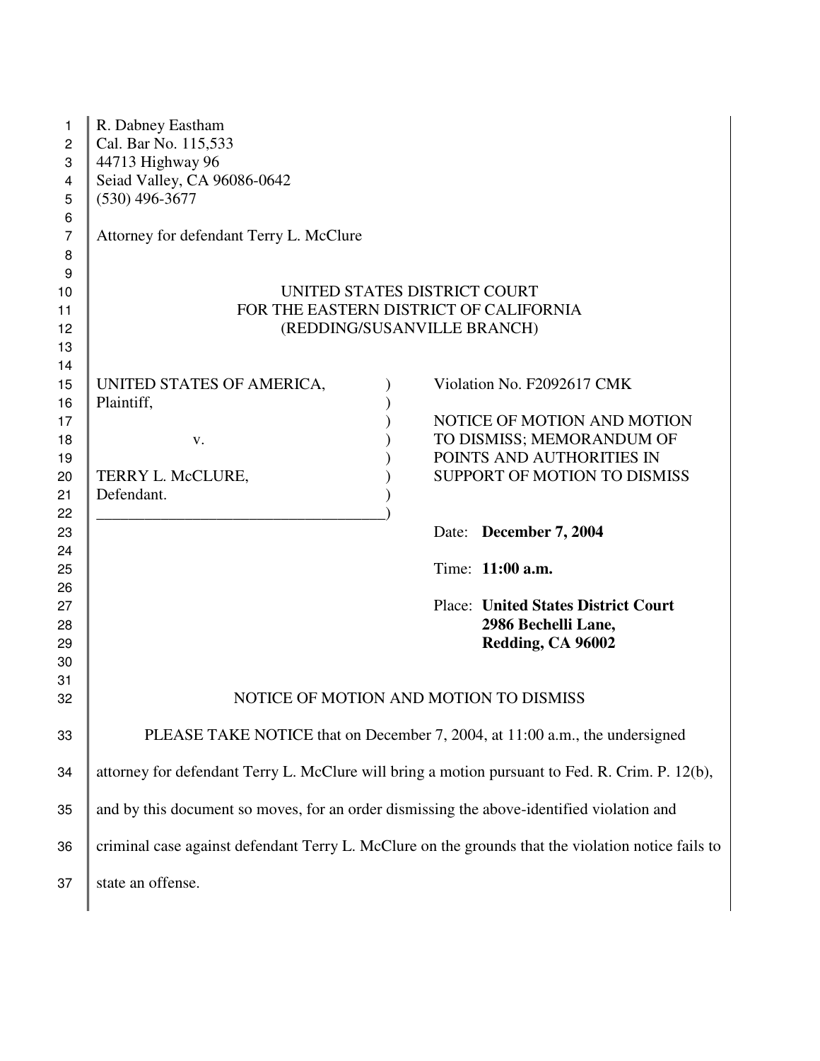| 1<br>$\mathbf{2}$<br>3<br>4<br>5       | R. Dabney Eastham<br>Cal. Bar No. 115,533<br>44713 Highway 96<br>Seiad Valley, CA 96086-0642<br>$(530)$ 496-3677 |                                                                                                                                                     |
|----------------------------------------|------------------------------------------------------------------------------------------------------------------|-----------------------------------------------------------------------------------------------------------------------------------------------------|
| 6<br>$\overline{7}$<br>8<br>9          | Attorney for defendant Terry L. McClure                                                                          |                                                                                                                                                     |
| 10<br>11<br>12<br>13                   |                                                                                                                  | UNITED STATES DISTRICT COURT<br>FOR THE EASTERN DISTRICT OF CALIFORNIA<br>(REDDING/SUSANVILLE BRANCH)                                               |
| 14<br>15<br>16<br>17<br>18<br>19<br>20 | UNITED STATES OF AMERICA,<br>Plaintiff,<br>V.<br>TERRY L. McCLURE,                                               | Violation No. F2092617 CMK<br>NOTICE OF MOTION AND MOTION<br>TO DISMISS; MEMORANDUM OF<br>POINTS AND AUTHORITIES IN<br>SUPPORT OF MOTION TO DISMISS |
| 21<br>22<br>23<br>24                   | Defendant.                                                                                                       | Date: December 7, 2004                                                                                                                              |
| 25<br>26<br>27<br>28                   |                                                                                                                  | Time: 11:00 a.m.<br><b>Place: United States District Court</b><br>2986 Bechelli Lane,                                                               |
| 29<br>30<br>31<br>32                   |                                                                                                                  | Redding, CA 96002<br>NOTICE OF MOTION AND MOTION TO DISMISS                                                                                         |
| 33                                     |                                                                                                                  | PLEASE TAKE NOTICE that on December 7, 2004, at 11:00 a.m., the undersigned                                                                         |
| 34                                     | attorney for defendant Terry L. McClure will bring a motion pursuant to Fed. R. Crim. P. 12(b),                  |                                                                                                                                                     |
| 35                                     | and by this document so moves, for an order dismissing the above-identified violation and                        |                                                                                                                                                     |
| 36                                     |                                                                                                                  | criminal case against defendant Terry L. McClure on the grounds that the violation notice fails to                                                  |
| 37                                     | state an offense.                                                                                                |                                                                                                                                                     |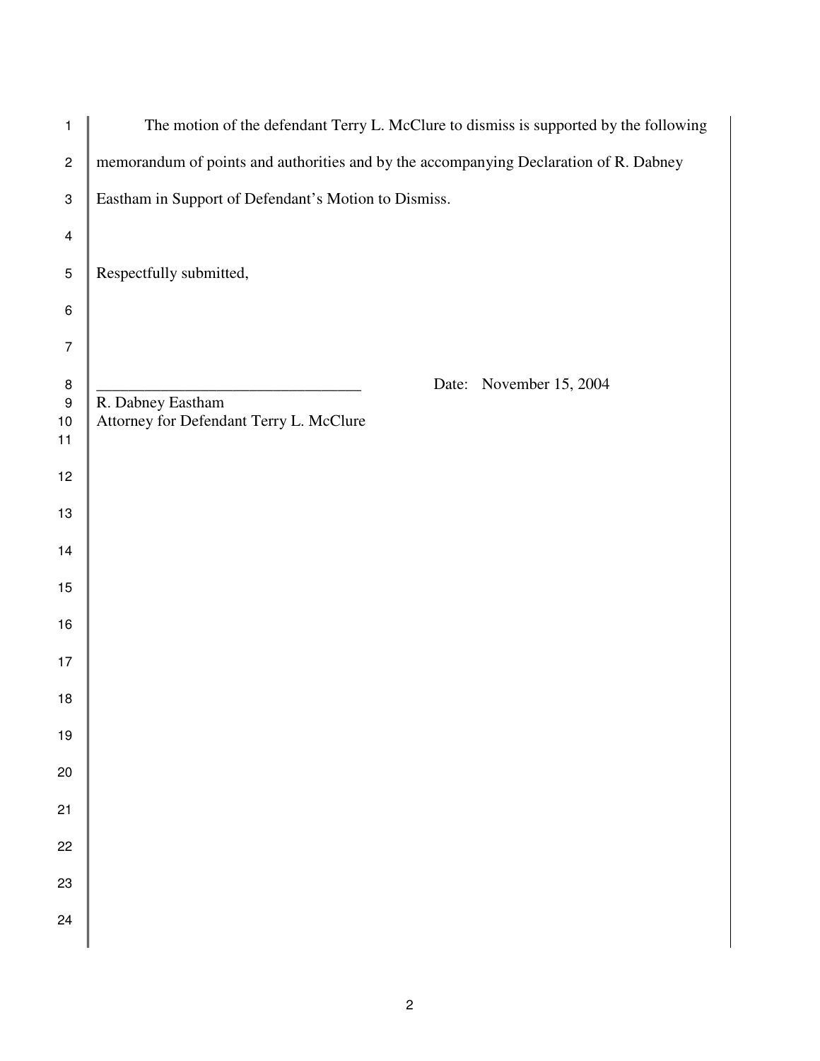| $\mathbf{1}$                              | The motion of the defendant Terry L. McClure to dismiss is supported by the following   |
|-------------------------------------------|-----------------------------------------------------------------------------------------|
| $\mathbf{2}$                              | memorandum of points and authorities and by the accompanying Declaration of R. Dabney   |
| 3                                         | Eastham in Support of Defendant's Motion to Dismiss.                                    |
| $\overline{\mathcal{A}}$                  |                                                                                         |
| $\sqrt{5}$                                | Respectfully submitted,                                                                 |
| 6                                         |                                                                                         |
| $\overline{7}$                            |                                                                                         |
| $\bf 8$<br>$\boldsymbol{9}$<br>$10$<br>11 | Date: November 15, 2004<br>R. Dabney Eastham<br>Attorney for Defendant Terry L. McClure |
| 12                                        |                                                                                         |
| 13                                        |                                                                                         |
| 14                                        |                                                                                         |
| 15                                        |                                                                                         |
| 16                                        |                                                                                         |
| 17                                        |                                                                                         |
| 18                                        |                                                                                         |
| $19$                                      |                                                                                         |
| 20                                        |                                                                                         |
| 21                                        |                                                                                         |
| 22                                        |                                                                                         |
| 23                                        |                                                                                         |
| 24                                        |                                                                                         |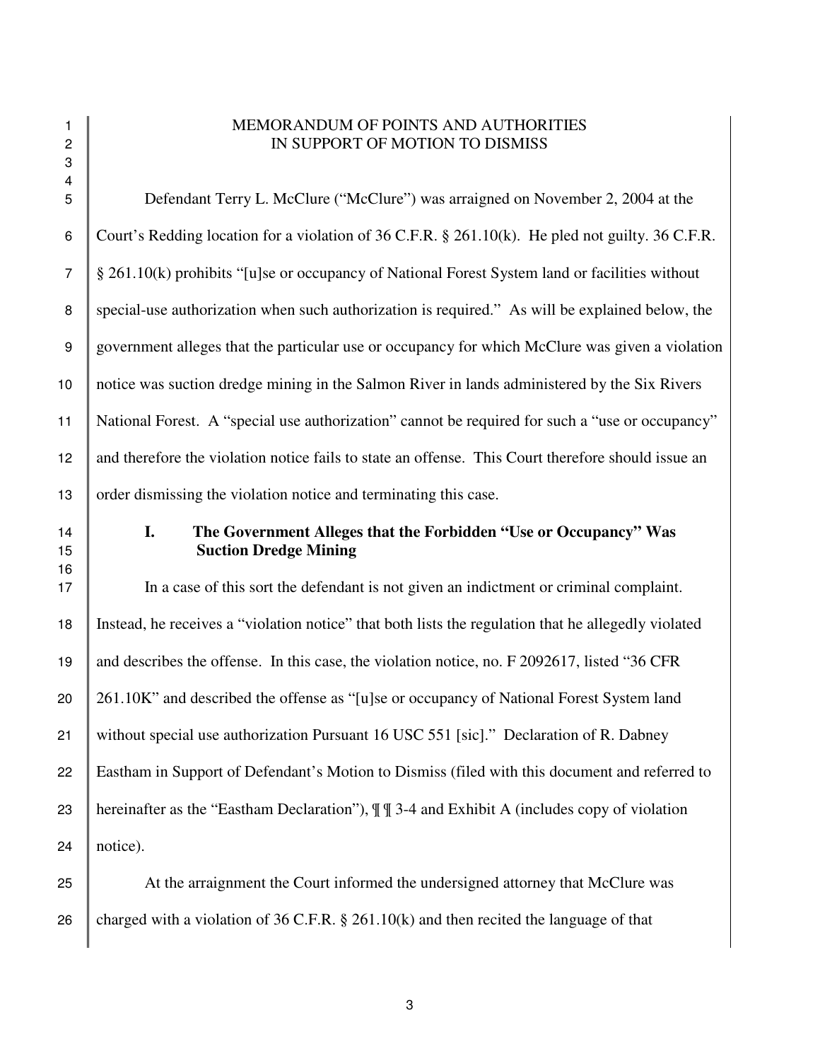## 1 MEMORANDUM OF POINTS AND AUTHORITIES 2 I BEEFINES IN SUPPORT OF MOTION TO DISMISS

 Defendant Terry L. McClure ("McClure") was arraigned on November 2, 2004 at the 6 Court's Redding location for a violation of 36 C.F.R. § 261.10(k). He pled not guilty. 36 C.F.R. § 261.10(k) prohibits "[u]se or occupancy of National Forest System land or facilities without special-use authorization when such authorization is required." As will be explained below, the government alleges that the particular use or occupancy for which McClure was given a violation notice was suction dredge mining in the Salmon River in lands administered by the Six Rivers National Forest. A "special use authorization" cannot be required for such a "use or occupancy" 12 and therefore the violation notice fails to state an offense. This Court therefore should issue an 13 order dismissing the violation notice and terminating this case.

3 4

## 14 **I. The Government Alleges that the Forbidden "Use or Occupancy" Was** 15 **Suction Dredge Mining**

17 In a case of this sort the defendant is not given an indictment or criminal complaint. 18 Instead, he receives a "violation notice" that both lists the regulation that he allegedly violated 19 and describes the offense. In this case, the violation notice, no. F 2092617, listed "36 CFR 20 261.10K" and described the offense as "[u]se or occupancy of National Forest System land 21 without special use authorization Pursuant 16 USC 551 [sic]." Declaration of R. Dabney 22 Eastham in Support of Defendant's Motion to Dismiss (filed with this document and referred to 23 hereinafter as the "Eastham Declaration"),  $\P\P$  3-4 and Exhibit A (includes copy of violation  $24$  notice).

25 At the arraignment the Court informed the undersigned attorney that McClure was 26 charged with a violation of 36 C.F.R. § 261.10(k) and then recited the language of that

16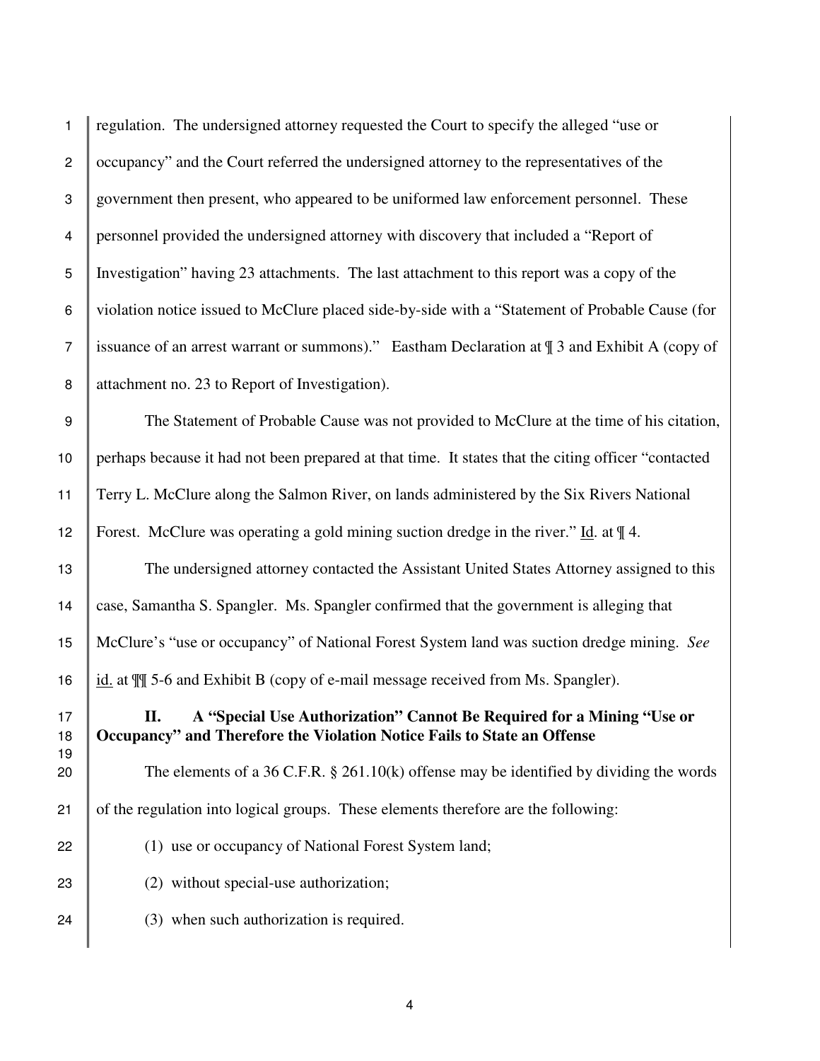| $\mathbf{1}$     | regulation. The undersigned attorney requested the Court to specify the alleged "use or                                                                |
|------------------|--------------------------------------------------------------------------------------------------------------------------------------------------------|
| $\overline{2}$   | occupancy" and the Court referred the undersigned attorney to the representatives of the                                                               |
| 3                | government then present, who appeared to be uniformed law enforcement personnel. These                                                                 |
| 4                | personnel provided the undersigned attorney with discovery that included a "Report of                                                                  |
| 5                | Investigation" having 23 attachments. The last attachment to this report was a copy of the                                                             |
| 6                | violation notice issued to McClure placed side-by-side with a "Statement of Probable Cause (for                                                        |
| $\overline{7}$   | issuance of an arrest warrant or summons)." Eastham Declaration at \[ 3 and Exhibit A (copy of                                                         |
| 8                | attachment no. 23 to Report of Investigation).                                                                                                         |
| $\boldsymbol{9}$ | The Statement of Probable Cause was not provided to McClure at the time of his citation,                                                               |
| 10               | perhaps because it had not been prepared at that time. It states that the citing officer "contacted                                                    |
| 11               | Terry L. McClure along the Salmon River, on lands administered by the Six Rivers National                                                              |
| 12               | Forest. McClure was operating a gold mining suction dredge in the river." Id. at $\llbracket 4$ .                                                      |
| 13               | The undersigned attorney contacted the Assistant United States Attorney assigned to this                                                               |
| 14               | case, Samantha S. Spangler. Ms. Spangler confirmed that the government is alleging that                                                                |
| 15               | McClure's "use or occupancy" of National Forest System land was suction dredge mining. See                                                             |
| 16               | id. at $\P$ 5-6 and Exhibit B (copy of e-mail message received from Ms. Spangler).                                                                     |
| 17<br>18<br>19   | A "Special Use Authorization" Cannot Be Required for a Mining "Use or<br>П.<br>Occupancy" and Therefore the Violation Notice Fails to State an Offense |
| 20               | The elements of a 36 C.F.R. $\S$ 261.10(k) offense may be identified by dividing the words                                                             |
| 21               | of the regulation into logical groups. These elements therefore are the following:                                                                     |
| 22               | (1) use or occupancy of National Forest System land;                                                                                                   |
| 23               | (2) without special-use authorization;                                                                                                                 |
| 24               | (3) when such authorization is required.                                                                                                               |
|                  |                                                                                                                                                        |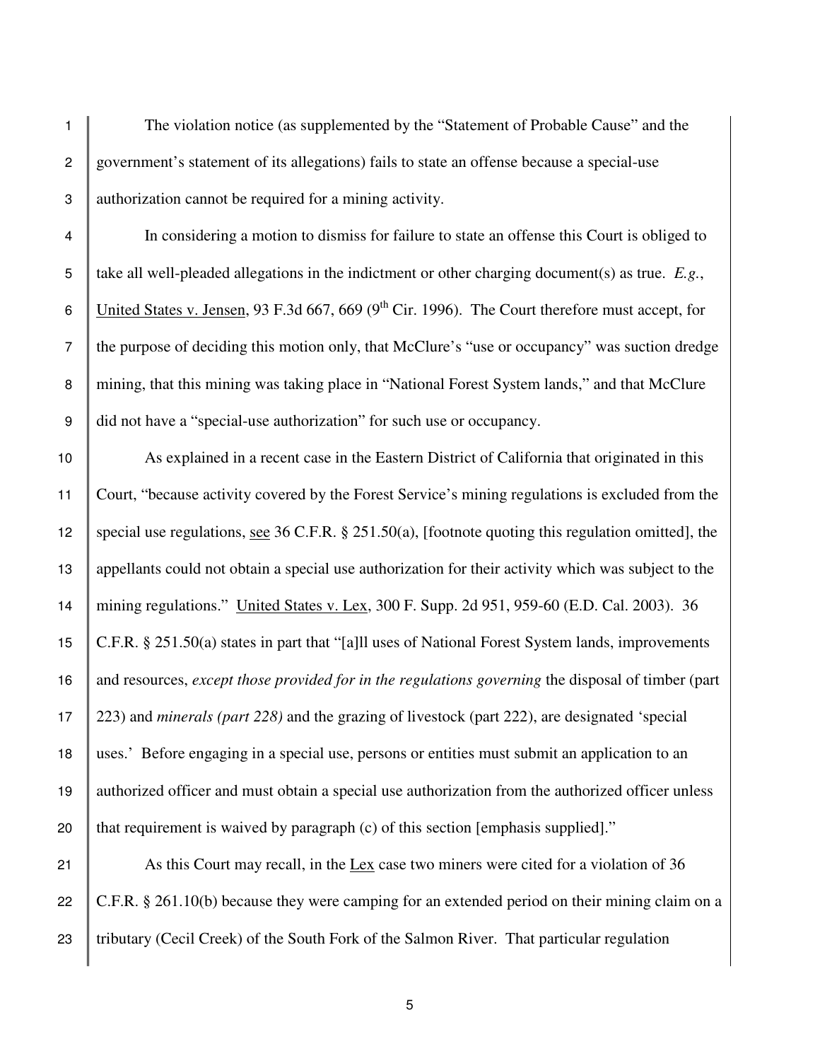The violation notice (as supplemented by the "Statement of Probable Cause" and the 2 government's statement of its allegations) fails to state an offense because a special-use authorization cannot be required for a mining activity.

 In considering a motion to dismiss for failure to state an offense this Court is obliged to take all well-pleaded allegations in the indictment or other charging document(s) as true. *E.g.*, 6 United States v. Jensen, 93 F.3d 667, 669 (9<sup>th</sup> Cir. 1996). The Court therefore must accept, for the purpose of deciding this motion only, that McClure's "use or occupancy" was suction dredge 8 mining, that this mining was taking place in "National Forest System lands," and that McClure did not have a "special-use authorization" for such use or occupancy.

 As explained in a recent case in the Eastern District of California that originated in this Court, "because activity covered by the Forest Service's mining regulations is excluded from the special use regulations, see 36 C.F.R. § 251.50(a), [footnote quoting this regulation omitted], the appellants could not obtain a special use authorization for their activity which was subject to the mining regulations." United States v. Lex, 300 F. Supp. 2d 951, 959-60 (E.D. Cal. 2003). 36 C.F.R. § 251.50(a) states in part that "[a]ll uses of National Forest System lands, improvements and resources, *except those provided for in the regulations governing* the disposal of timber (part 223) and *minerals (part 228)* and the grazing of livestock (part 222), are designated 'special uses.' Before engaging in a special use, persons or entities must submit an application to an authorized officer and must obtain a special use authorization from the authorized officer unless  $\parallel$  that requirement is waived by paragraph (c) of this section [emphasis supplied]."

21 As this Court may recall, in the Lex case two miners were cited for a violation of 36 22 C.F.R. § 261.10(b) because they were camping for an extended period on their mining claim on a 23 Tributary (Cecil Creek) of the South Fork of the Salmon River. That particular regulation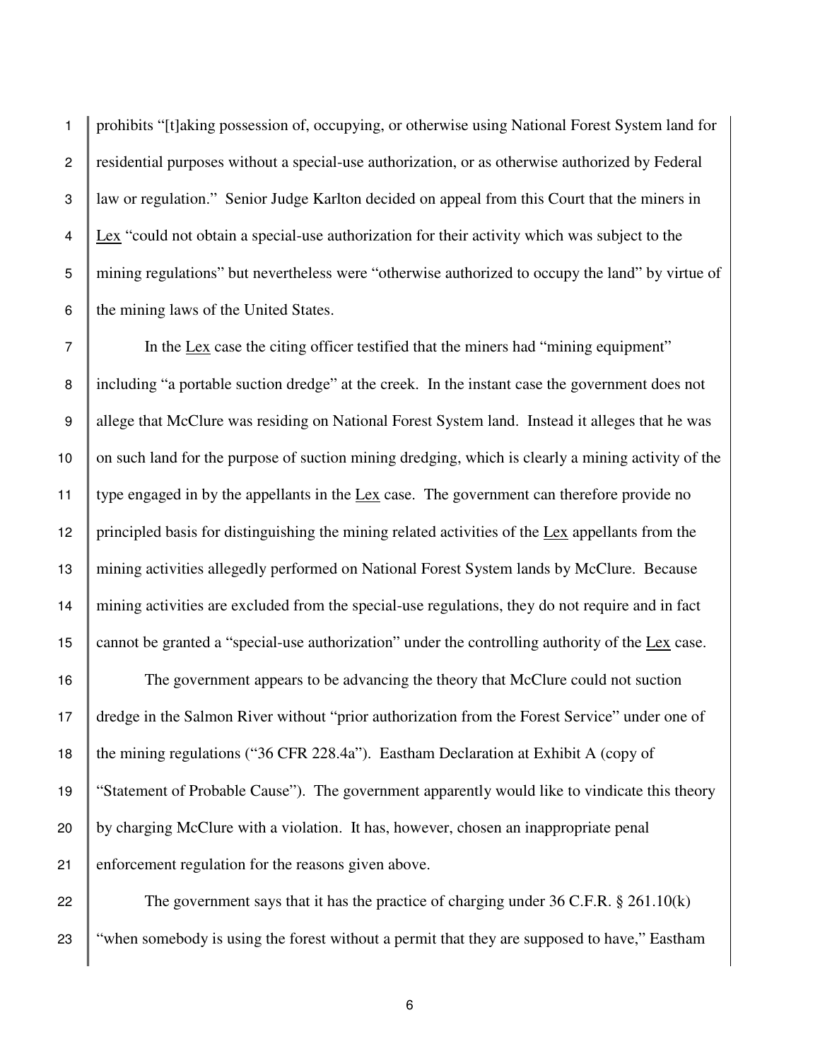1 prohibits "[t]aking possession of, occupying, or otherwise using National Forest System land for 2 residential purposes without a special-use authorization, or as otherwise authorized by Federal 3 law or regulation." Senior Judge Karlton decided on appeal from this Court that the miners in  $4 \parallel$  Lex "could not obtain a special-use authorization for their activity which was subject to the 5 mining regulations" but nevertheless were "otherwise authorized to occupy the land" by virtue of 6  $\parallel$  the mining laws of the United States.

 In the Lex case the citing officer testified that the miners had "mining equipment" 8 including "a portable suction dredge" at the creek. In the instant case the government does not 9 allege that McClure was residing on National Forest System land. Instead it alleges that he was 10 on such land for the purpose of suction mining dredging, which is clearly a mining activity of the type engaged in by the appellants in the Lex case. The government can therefore provide no principled basis for distinguishing the mining related activities of the Lex appellants from the mining activities allegedly performed on National Forest System lands by McClure. Because mining activities are excluded from the special-use regulations, they do not require and in fact cannot be granted a "special-use authorization" under the controlling authority of the Lex case.

 The government appears to be advancing the theory that McClure could not suction dredge in the Salmon River without "prior authorization from the Forest Service" under one of 18 the mining regulations ("36 CFR 228.4a"). Eastham Declaration at Exhibit A (copy of "Statement of Probable Cause"). The government apparently would like to vindicate this theory by charging McClure with a violation. It has, however, chosen an inappropriate penal enforcement regulation for the reasons given above.

22 The government says that it has the practice of charging under 36 C.F.R.  $\S$  261.10(k) 23 "when somebody is using the forest without a permit that they are supposed to have," Eastham